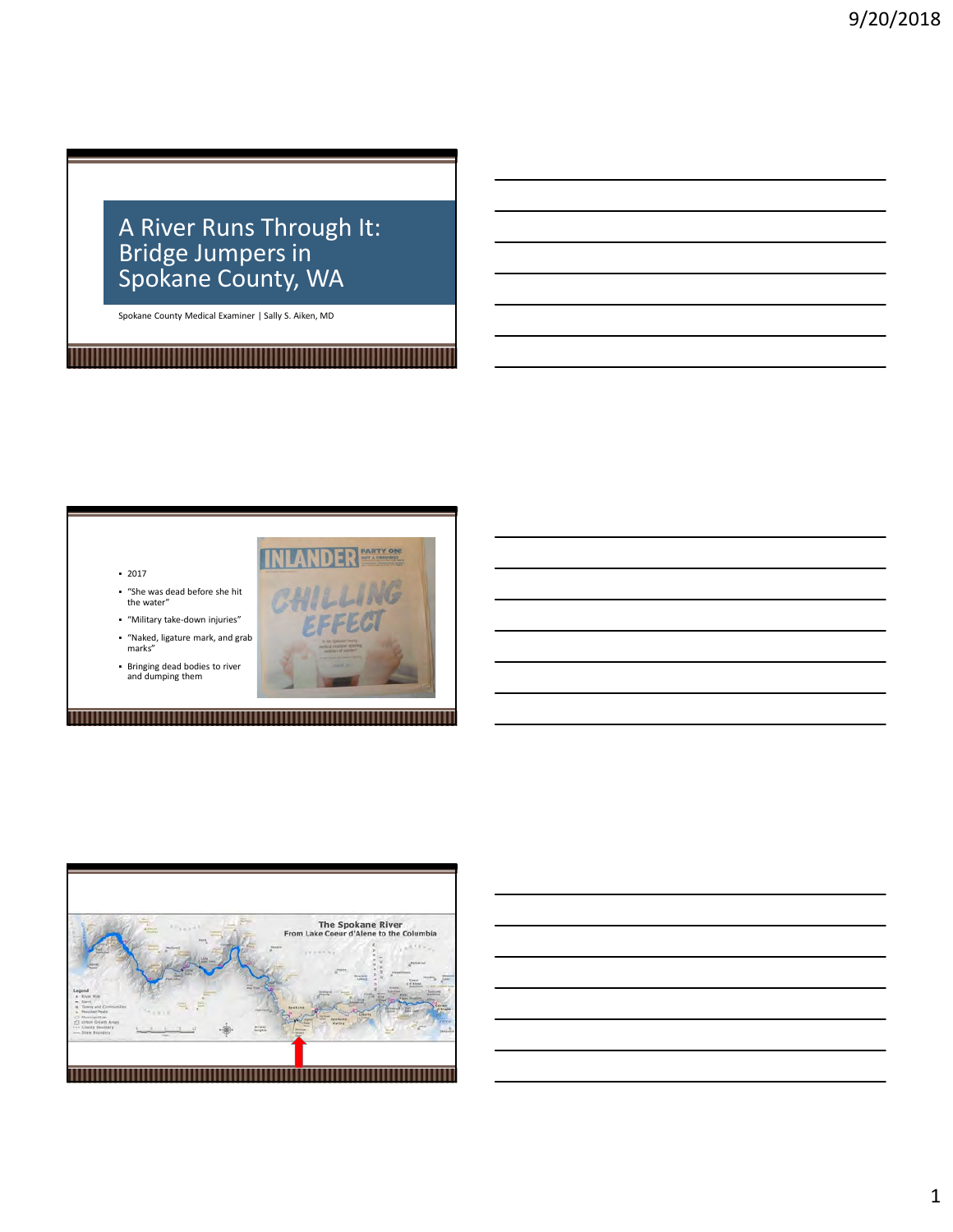### A River Runs Through It: Bridge Jumpers in Spokane County, WA

Spokane County Medical Examiner | Sally S. Aiken, MD

<u> 1989 - Andrea Stadt Britain, fransk politik (f. 1989)</u>





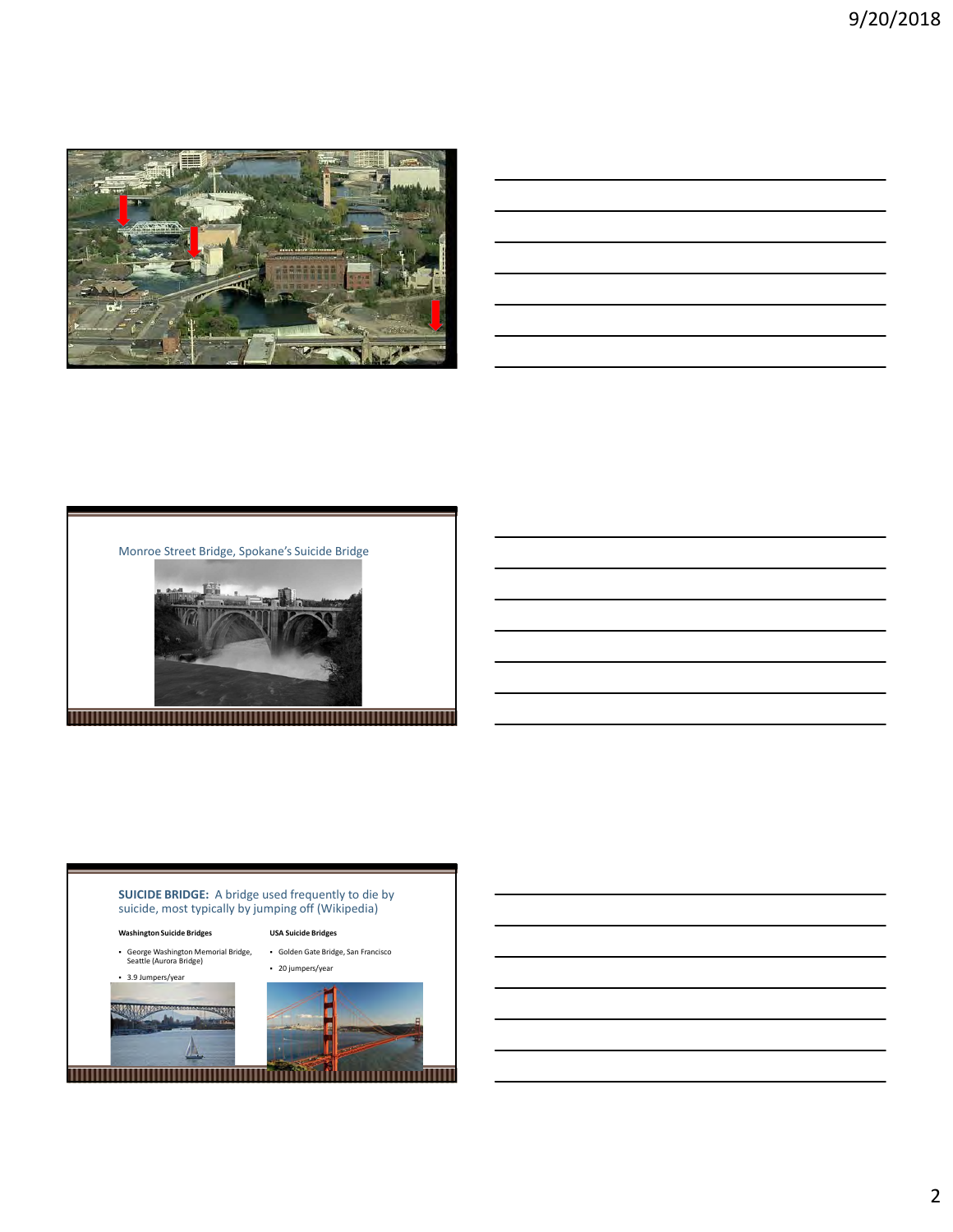

| <u> 1989 - Johann Stoff, amerikansk fotograf (d. 1989)</u>                                                            |  |  |
|-----------------------------------------------------------------------------------------------------------------------|--|--|
|                                                                                                                       |  |  |
| <u> 1989 - Andrea Santa Andrea Andrea Andrea Andrea Andrea Andrea Andrea Andrea Andrea Andrea Andrea Andrea Andr</u>  |  |  |
| <u> 1989 - Johann Stoff, deutscher Stoff, der Stoff, der Stoff, der Stoff, der Stoff, der Stoff, der Stoff, der S</u> |  |  |
|                                                                                                                       |  |  |



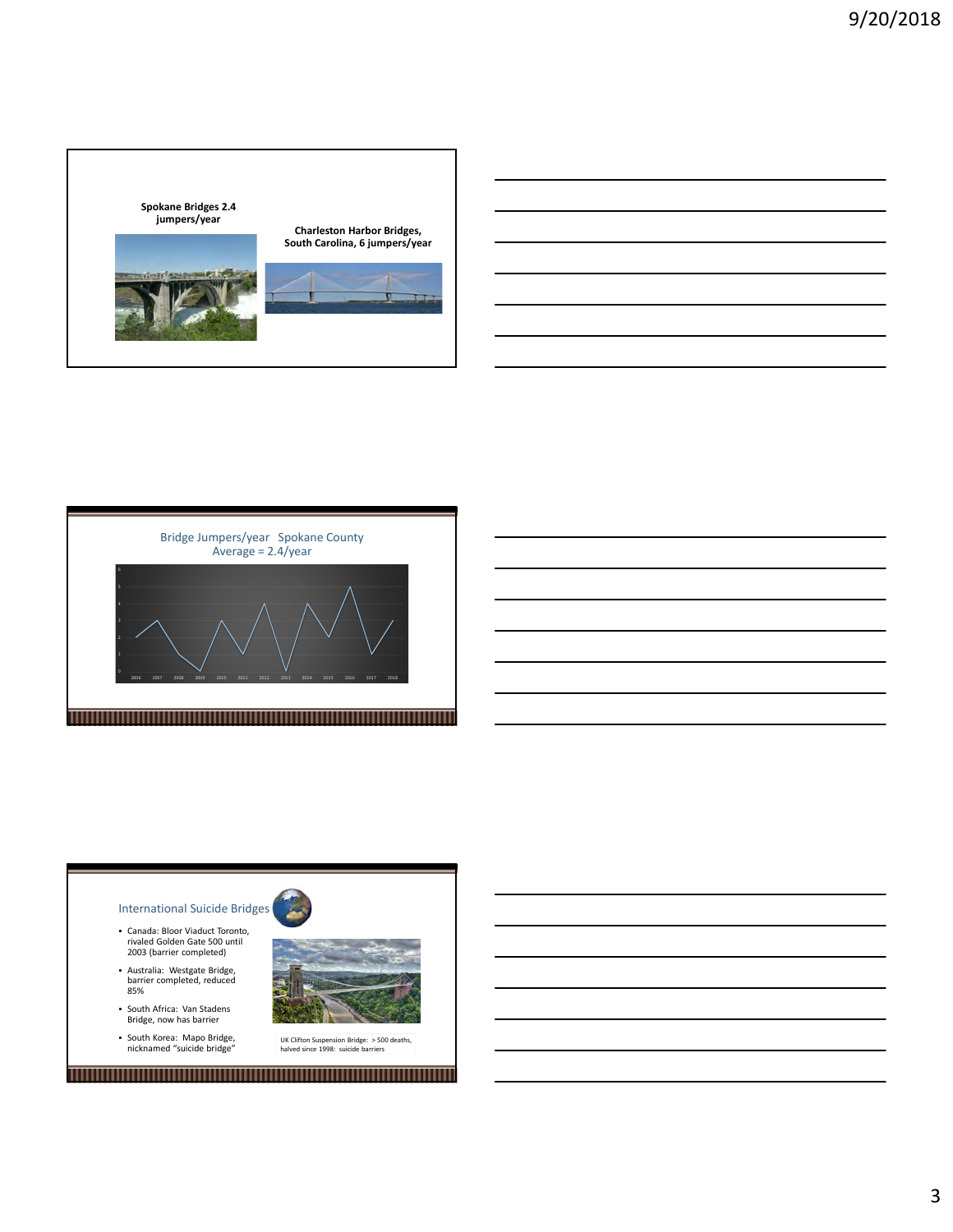



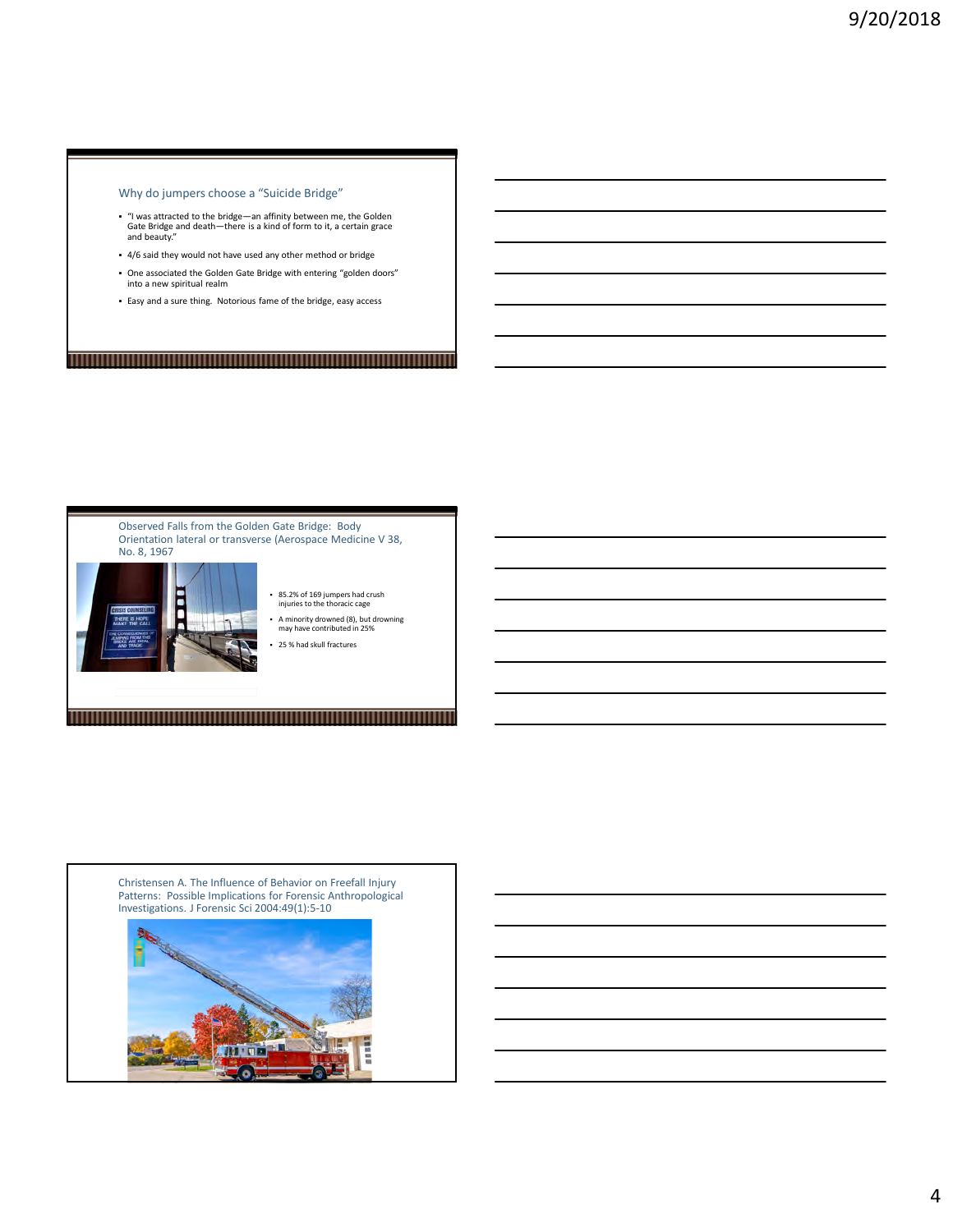#### Why do jumpers choose a "Suicide Bridge"

- "I was attracted to the bridge—an affinity between me, the Golden Gate Bridge and death—there is a kind of form to it, a certain grace and beauty."
- 4/6 said they would not have used any other method or bridge
- One associated the Golden Gate Bridge with entering "golden doors" into a new spiritual realm
- Easy and a sure thing. Notorious fame of the bridge, easy access

# <u> 1999 - An Dùbhlachd ann an Dùbhad ann an Dùbhad ann an Dùbhad ann an Dùbhlachd ann an Dùbhlachd ann an Dùbhlachd ann an Dùbhlachd ann an Dùbhlachd ann an Dùbhlachd ann an Dùbhlachd ann an Dùbhlachd ann an Dùbhlachd ann a</u>



Christensen A. The Influence of Behavior on Freefall Injury Patterns: Possible Implications for Forensic Anthropological Investigations. J Forensic Sci 2004:49(1):5-10

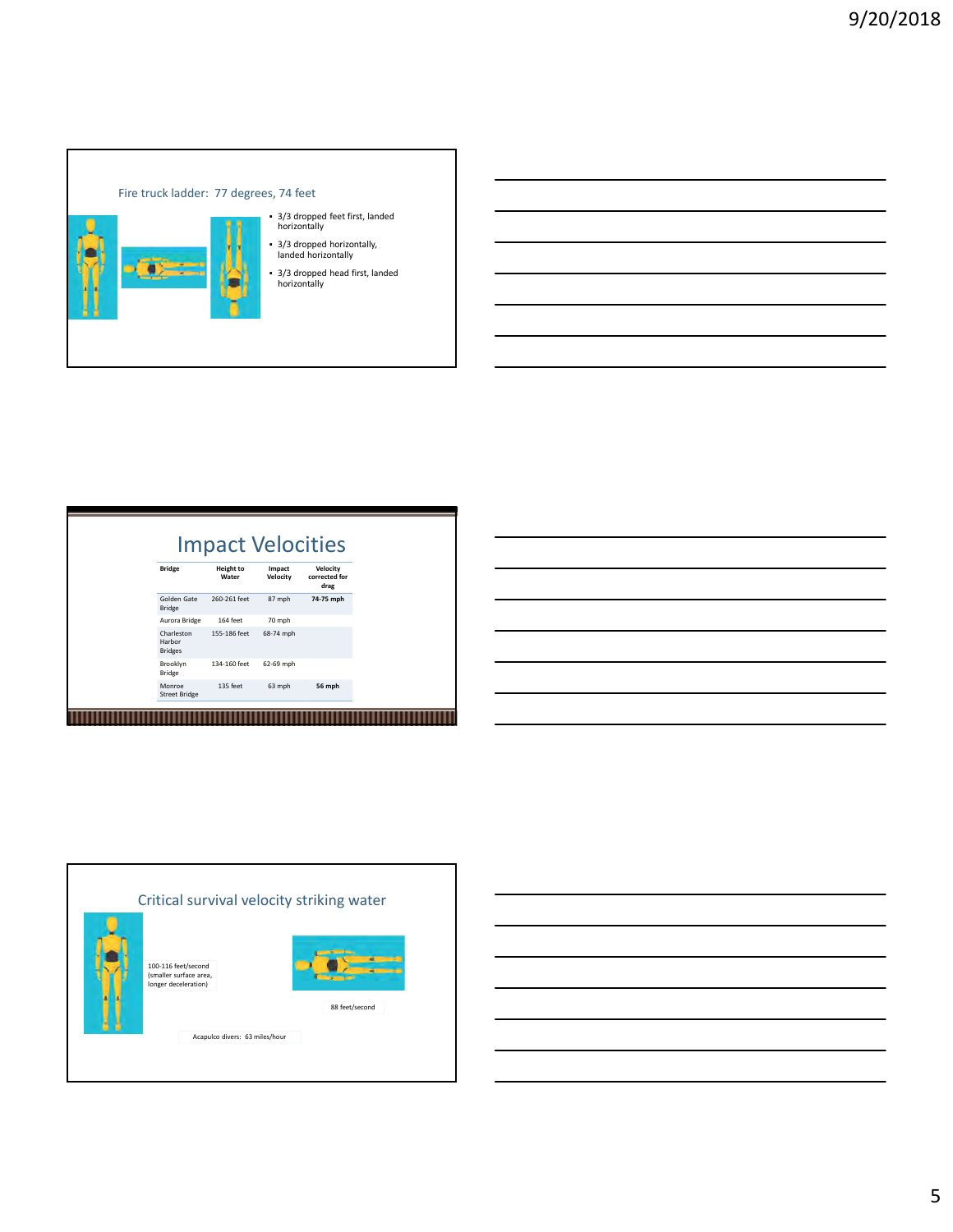

|                                       |                                                       | horizontally<br>horizontally | - 3/3 dropped feet first, landed<br>- 3/3 dropped horizontally,<br>landed horizontally<br>- 3/3 dropped head first, landed |  |  |  |  |
|---------------------------------------|-------------------------------------------------------|------------------------------|----------------------------------------------------------------------------------------------------------------------------|--|--|--|--|
|                                       |                                                       |                              |                                                                                                                            |  |  |  |  |
|                                       |                                                       |                              |                                                                                                                            |  |  |  |  |
| <b>Bridge</b>                         | <b>Impact Velocities</b><br><b>Height to</b><br>Water | Impact<br>Velocity           | Velocity<br>corrected for                                                                                                  |  |  |  |  |
| Golden Gate<br>Bridge                 | 260-261 feet                                          | 87 mph                       | drag<br>74-75 mph                                                                                                          |  |  |  |  |
| Aurora Bridge<br>Charleston<br>Harbor | 164 feet<br>155-186 feet                              | 70 mph<br>68-74 mph          |                                                                                                                            |  |  |  |  |
| Bridges<br>Brooklyn<br>Bridge         | 134-160 feet                                          | 62-69 mph                    |                                                                                                                            |  |  |  |  |
| Monroe<br>Street Bridge               | 135 feet                                              | 63 mph                       | 56 mph                                                                                                                     |  |  |  |  |

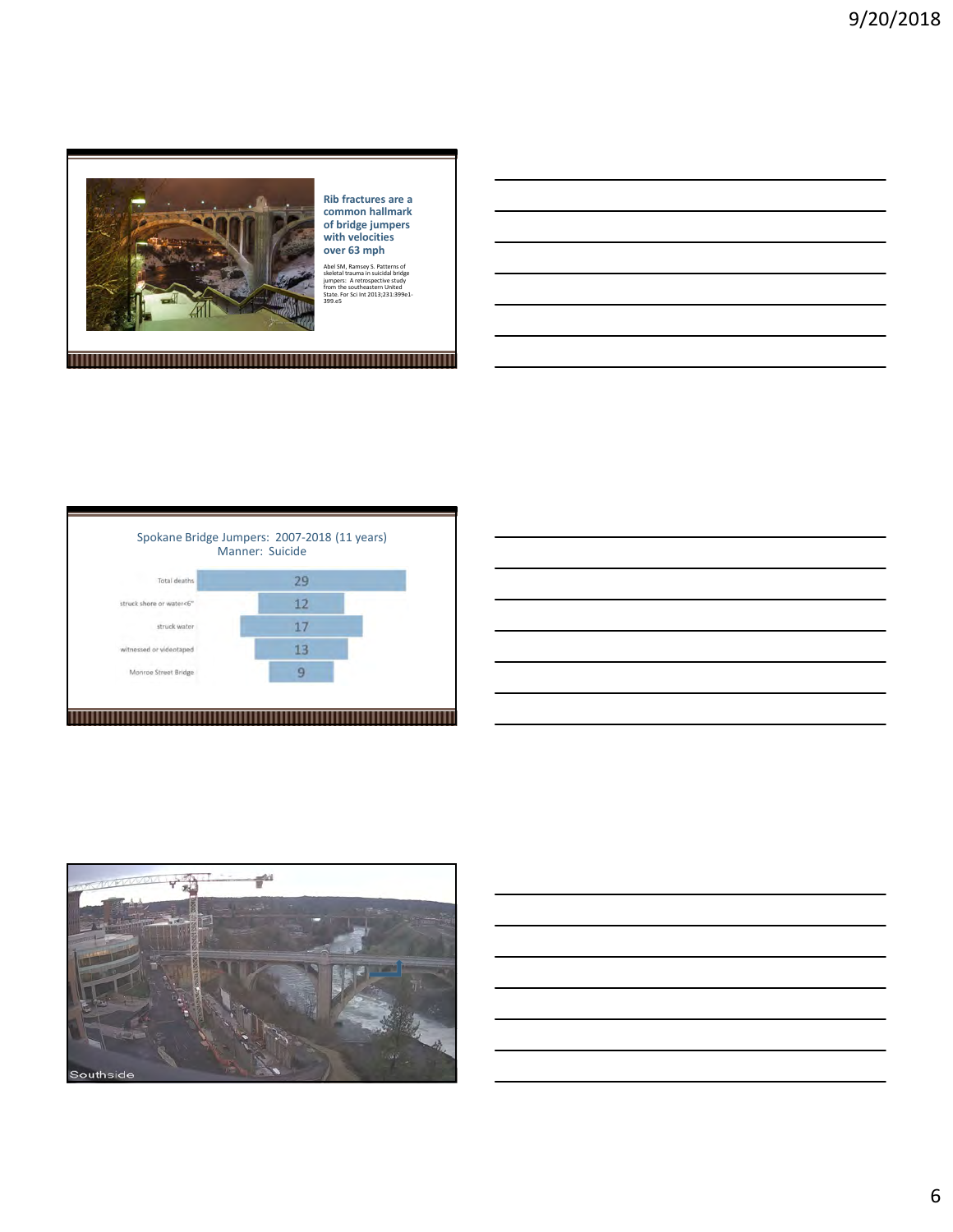

Rib fractures are a common hallmark of bridge jumpers with velocities over 63 mph

Abel SM, Ramsey S. Patterns of<br>skeletal trauma in suicidal bridge<br>jumpers: A retrospective study<br>from the southeastern United<br>State. For Sci Int 2013;231:399e1-<br>399 e5 399.e5

Spokane Bridge Jumpers: 2007-2018 (11 years) Manner: SuicideTotal deaths 29  $12$ struck shore or water<6"  $17$ struck water witnessed or videotaped  $13$  $\overline{9}$ Monroe Street Bridge <u> 1989 - Andrea Stadt Britain, fransk politik (f. 1989)</u>



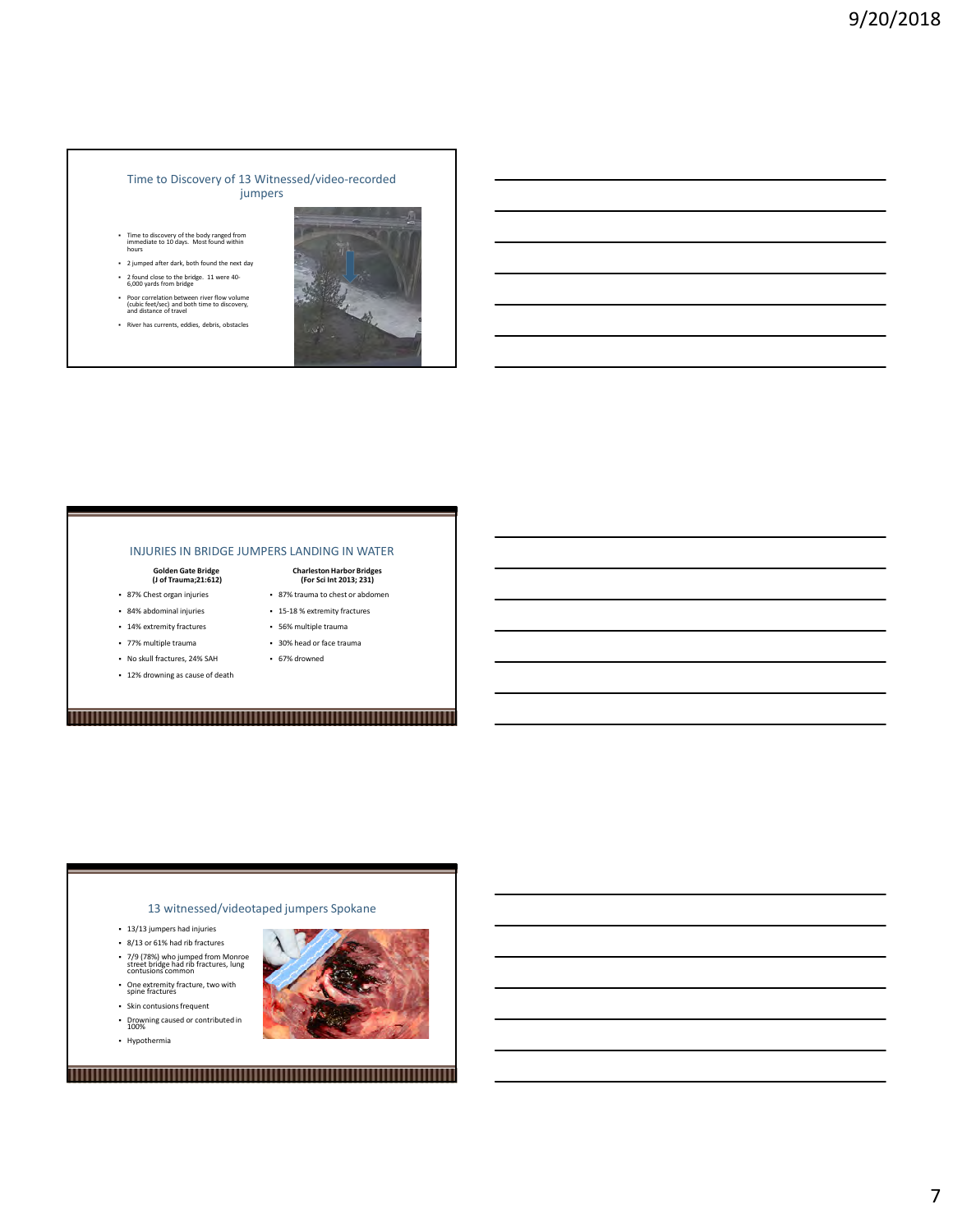#### Time to Discovery of 13 Witnessed/video-recorded jumpers

- Time to discovery of the body ranged from immediate to 10 days. Most found within hours
- 2 jumped after dark, both found the next day 2 found close to the bridge. 11 were 40- 6,000 yards from bridge
- Poor correlation between river flow volume (cubic feet/sec) and both time to discovery, and distance of travel
- River has currents, eddies, debris, obstacles



#### INJURIES IN BRIDGE JUMPERS LANDING IN WATER

- 
- 
- 14% extremity fractures
- 77% multiple trauma 30% head or face trauma
- No skull fractures, 24% SAH
- 12% drowning as cause of death

#### Golden Gate Bridge (J of Trauma;21:612) Charleston Harbor Bridges (For Sci Int 2013; 231)

- **87% Chest organ injuries 187% trauma to chest or abdomen** and the chest or abdomen and the chest or abdomen and the chest or abdomen and the chest or abdomen and the chest or abdomen and the chest or abdomen and the chest
- 84% abdominal injuries 15-18 % extremity fractures
	- 56% multiple trauma
	- 67% drowned
	-

# <u> 1989 - Andrea Stadt Britain, fransk politik (f. 1989)</u>

#### 13 witnessed/videotaped jumpers Spokane

- 13/13 jumpers had injuries
- 8/13 or 61% had rib fractures
- 7/9 (78%) who jumped from Monroe street bridge had rib fractures, lung contusions common
- One extremity fracture, two with spine fractures
- Skin contusions frequent Drowning caused or contributed in 100%
- 
- Hypothermia

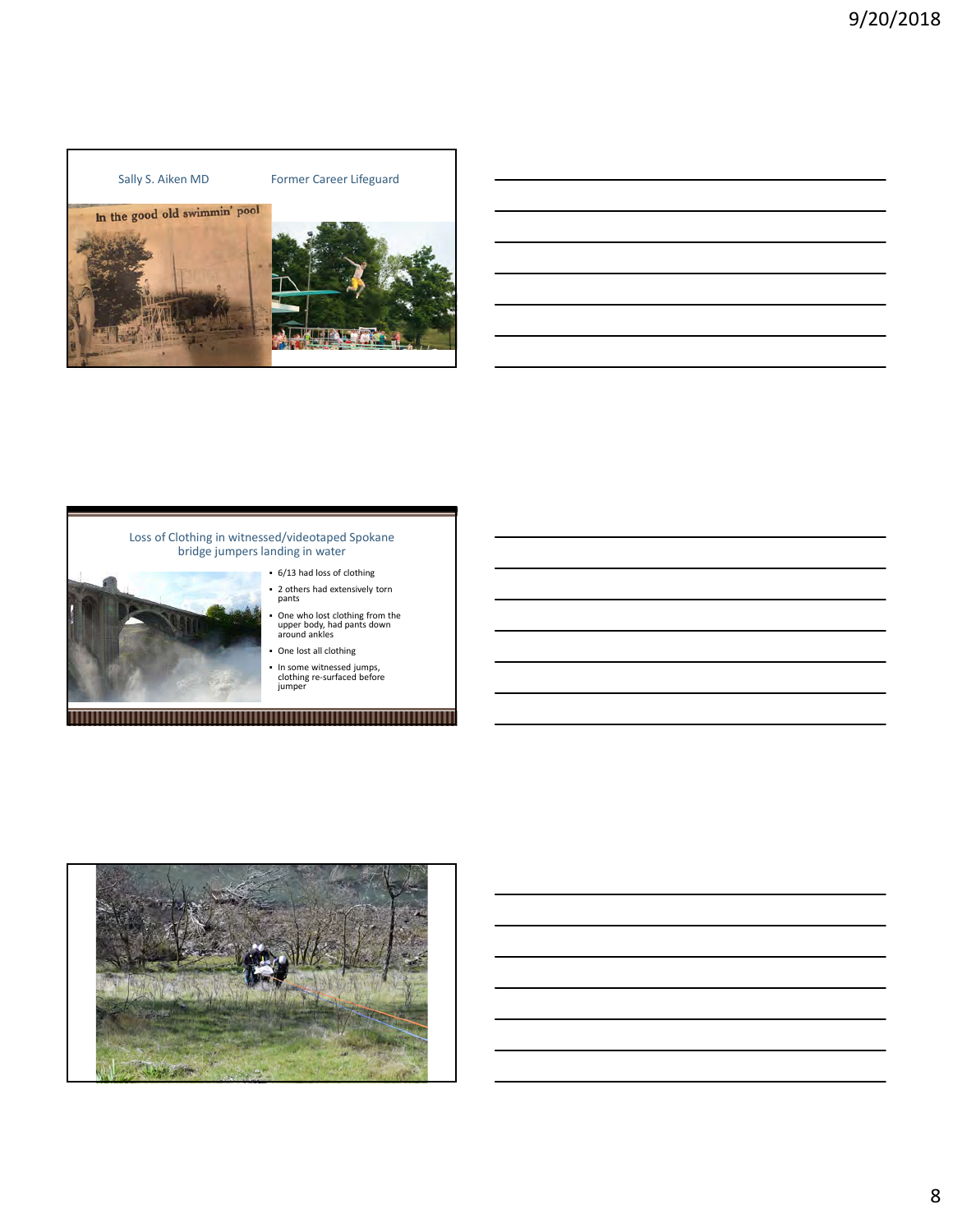## Sally S. Aiken MD Former Career Lifeguard In the good old swimmin' pool





#### Loss of Clothing in witnessed/videotaped Spokane **Fig.** The setting of  $\sim$ bridge jumpers landing in water

- 6/13 had loss of clothing 2 others had extensively torn pants
	- One who lost clothing from the and the state of the state of the state of the state of the state of the stat<br>upper body, had pants down around an around ankles
	- One lost all clothing
	- In some witnessed jumps, clothing re-surfaced before jumper

<u> 1989 - Andrea Stadt Britain, fransk politik (f. 1989)</u>